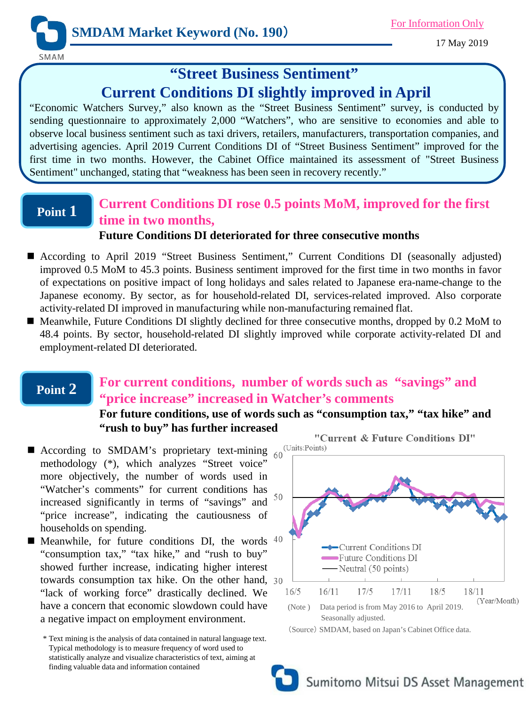

17 May 2019

# **"Street Business Sentiment" Current Conditions DI slightly improved in April**

"Economic Watchers Survey," also known as the "Street Business Sentiment" survey, is conducted by sending questionnaire to approximately 2,000 "Watchers", who are sensitive to economies and able to observe local business sentiment such as taxi drivers, retailers, manufacturers, transportation companies, and advertising agencies. April 2019 Current Conditions DI of "Street Business Sentiment" improved for the first time in two months. However, the Cabinet Office maintained its assessment of "Street Business Sentiment" unchanged, stating that "weakness has been seen in recovery recently."

### **Point 1**

# **Current Conditions DI rose 0.5 points MoM, improved for the first time in two months,**

#### **Future Conditions DI deteriorated for three consecutive months**

- According to April 2019 "Street Business Sentiment," Current Conditions DI (seasonally adjusted) improved 0.5 MoM to 45.3 points. Business sentiment improved for the first time in two months in favor of expectations on positive impact of long holidays and sales related to Japanese era-name-change to the Japanese economy. By sector, as for household-related DI, services-related improved. Also corporate activity-related DI improved in manufacturing while non-manufacturing remained flat.
- Meanwhile, Future Conditions DI slightly declined for three consecutive months, dropped by 0.2 MoM to 48.4 points. By sector, household-related DI slightly improved while corporate activity-related DI and employment-related DI deteriorated.

#### **Point 2**

## **For current conditions, number of words such as "savings" and "price increase" increased in Watcher's comments**

#### **For future conditions, use of words such as "consumption tax," "tax hike" and "rush to buy" has further increased**

- According to SMDAM's proprietary text-mining  $60 \frac{\text{(Units:Points)}}{\text{...}}$ methodology (\*), which analyzes "Street voice" more objectively, the number of words used in "Watcher's comments" for current conditions has increased significantly in terms of "savings" and "price increase", indicating the cautiousness of households on spending.
- **Meanwhile, for future conditions DI, the words**  $40$ "consumption tax," "tax hike," and "rush to buy" showed further increase, indicating higher interest towards consumption tax hike. On the other hand, "lack of working force" drastically declined. We have a concern that economic slowdown could have a negative impact on employment environment.

\* Text mining is the analysis of data contained in natural language text. Typical methodology is to measure frequency of word used to statistically analyze and visualize characteristics of text, aiming at finding valuable data and information contained